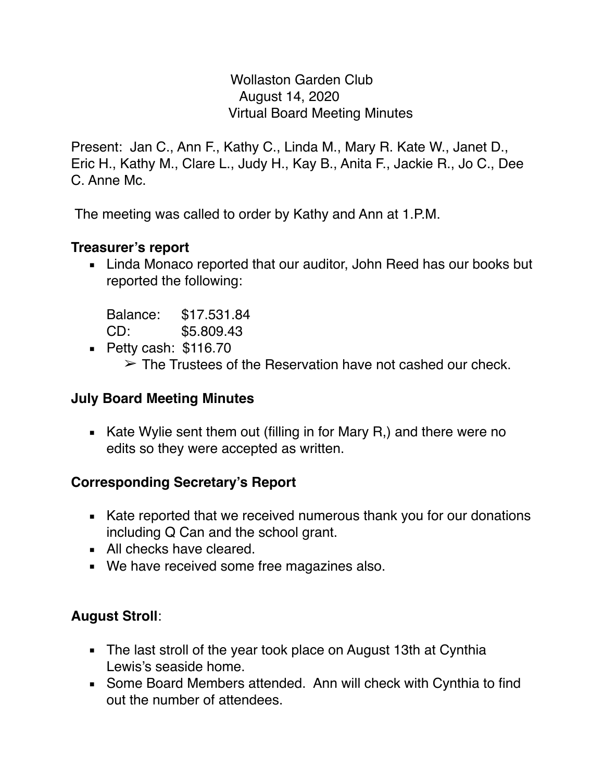Wollaston Garden Club August 14, 2020 Virtual Board Meeting Minutes

Present: Jan C., Ann F., Kathy C., Linda M., Mary R. Kate W., Janet D., Eric H., Kathy M., Clare L., Judy H., Kay B., Anita F., Jackie R., Jo C., Dee C. Anne Mc.

The meeting was called to order by Kathy and Ann at 1.P.M.

### **Treasurer's report**

■ Linda Monaco reported that our auditor, John Reed has our books but reported the following:

Balance: \$17.531.84 CD: \$5.809.43

▪ Petty cash: \$116.70  $\geq$  The Trustees of the Reservation have not cashed our check.

### **July Board Meeting Minutes**

**EXEL A** Kate Wylie sent them out (filling in for Mary R,) and there were no edits so they were accepted as written.

# **Corresponding Secretary's Report**

- Kate reported that we received numerous thank you for our donations including Q Can and the school grant.
- All checks have cleared.
- We have received some free magazines also.

# **August Stroll**:

- **.** The last stroll of the year took place on August 13th at Cynthia Lewis's seaside home.
- Some Board Members attended. Ann will check with Cynthia to find out the number of attendees.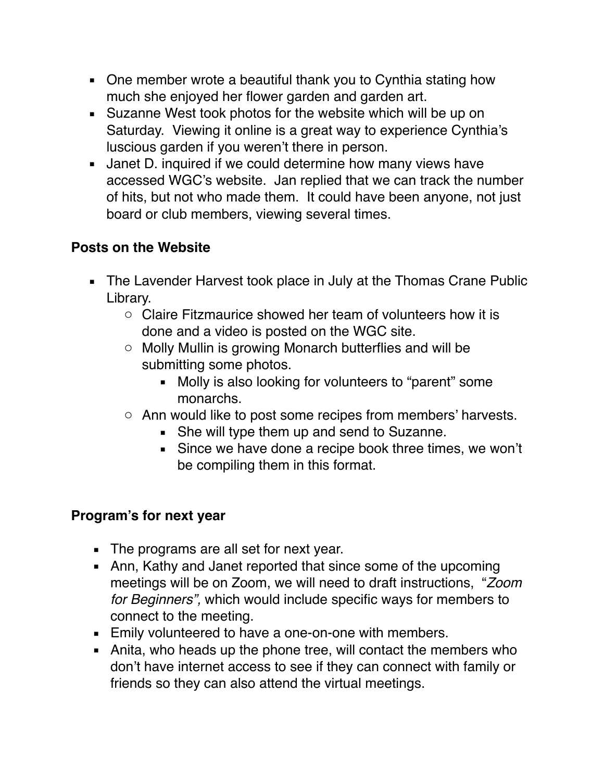- One member wrote a beautiful thank you to Cynthia stating how much she enjoyed her flower garden and garden art.
- Suzanne West took photos for the website which will be up on Saturday. Viewing it online is a great way to experience Cynthia's luscious garden if you weren't there in person.
- **.** Janet D. inquired if we could determine how many views have accessed WGC's website. Jan replied that we can track the number of hits, but not who made them. It could have been anyone, not just board or club members, viewing several times.

# **Posts on the Website**

- **EXTE:** The Lavender Harvest took place in July at the Thomas Crane Public Library.
	- $\circ$  Claire Fitzmaurice showed her team of volunteers how it is done and a video is posted on the WGC site.
	- o Molly Mullin is growing Monarch butterflies and will be submitting some photos.
		- Molly is also looking for volunteers to "parent" some monarchs.
	- o Ann would like to post some recipes from members' harvests.
		- **She will type them up and send to Suzanne.**
		- **EXEC** Since we have done a recipe book three times, we won't be compiling them in this format.

### **Program's for next year**

- The programs are all set for next year.
- **Ann, Kathy and Janet reported that since some of the upcoming** meetings will be on Zoom, we will need to draft instructions, "*Zoom for Beginners",* which would include specific ways for members to connect to the meeting.
- Emily volunteered to have a one-on-one with members.
- **EXEDENT Anita, who heads up the phone tree, will contact the members who** don't have internet access to see if they can connect with family or friends so they can also attend the virtual meetings.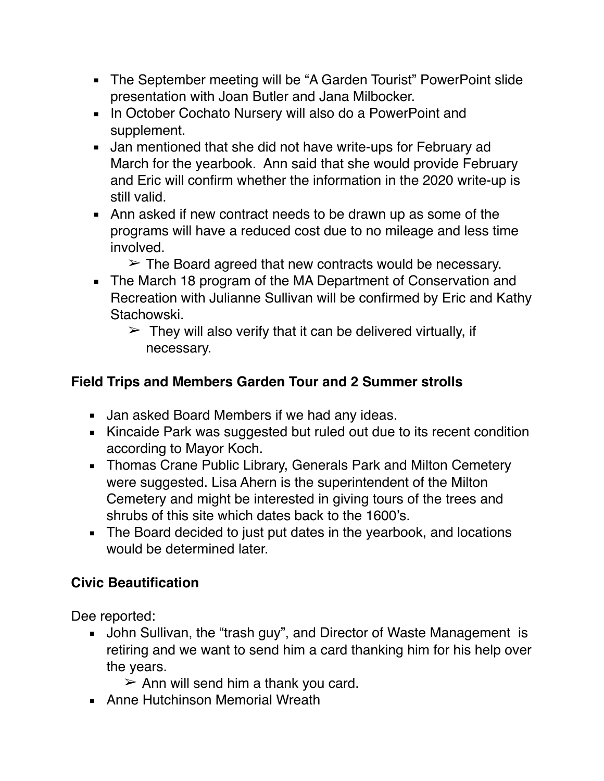- The September meeting will be "A Garden Tourist" PowerPoint slide presentation with Joan Butler and Jana Milbocker.
- In October Cochato Nursery will also do a PowerPoint and supplement.
- **.** Jan mentioned that she did not have write-ups for February ad March for the yearbook. Ann said that she would provide February and Eric will confirm whether the information in the 2020 write-up is still valid.
- Ann asked if new contract needs to be drawn up as some of the programs will have a reduced cost due to no mileage and less time involved.
	- $\geq$  The Board agreed that new contracts would be necessary.
- **.** The March 18 program of the MA Department of Conservation and Recreation with Julianne Sullivan will be confirmed by Eric and Kathy Stachowski.
	- $\geq$  They will also verify that it can be delivered virtually, if necessary.

# **Field Trips and Members Garden Tour and 2 Summer strolls**

- **■** Jan asked Board Members if we had any ideas.
- Kincaide Park was suggested but ruled out due to its recent condition according to Mayor Koch.
- **EXEDENT Thomas Crane Public Library, Generals Park and Milton Cemetery** were suggested. Lisa Ahern is the superintendent of the Milton Cemetery and might be interested in giving tours of the trees and shrubs of this site which dates back to the 1600's.
- **EXTE** The Board decided to just put dates in the yearbook, and locations would be determined later.

# **Civic Beautification**

Dee reported:

- **.** John Sullivan, the "trash guy", and Director of Waste Management is retiring and we want to send him a card thanking him for his help over the years.
	- $\geq$  Ann will send him a thank you card.
- **E** Anne Hutchinson Memorial Wreath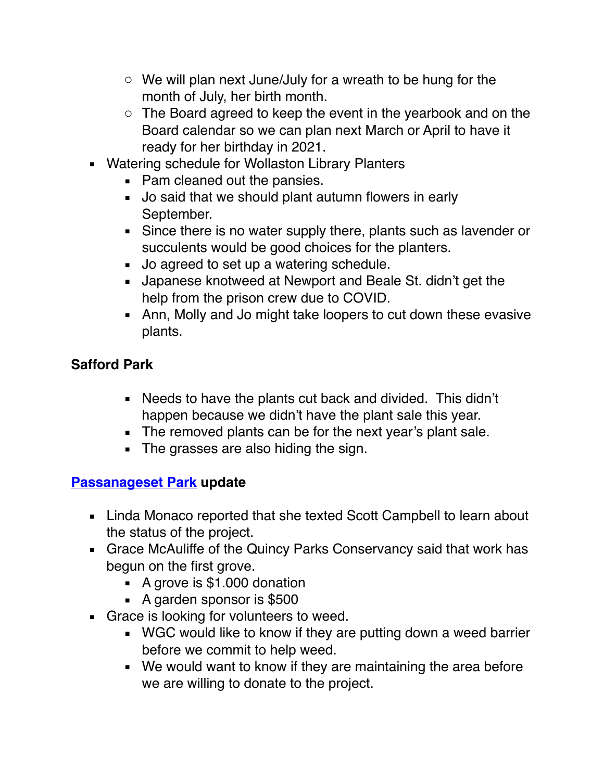- $\circ$  We will plan next June/July for a wreath to be hung for the month of July, her birth month.
- o The Board agreed to keep the event in the yearbook and on the Board calendar so we can plan next March or April to have it ready for her birthday in 2021.
- Watering schedule for Wollaston Library Planters
	- Pam cleaned out the pansies.
	- Jo said that we should plant autumn flowers in early September.
	- Since there is no water supply there, plants such as lavender or succulents would be good choices for the planters.
	- Jo agreed to set up a watering schedule.
	- Japanese knotweed at Newport and Beale St. didn't get the help from the prison crew due to COVID.
	- **EXECT** Ann, Molly and Jo might take loopers to cut down these evasive plants.

# **Safford Park**

- Needs to have the plants cut back and divided. This didn't happen because we didn't have the plant sale this year.
- **•** The removed plants can be for the next year's plant sale.
- **The grasses are also hiding the sign.**

# **[Passanageset Park](http://passanageset.org/passanageset-park-at-broad-meadows-marsh/) update**

- **EXECT:** Linda Monaco reported that she texted Scott Campbell to learn about the status of the project.
- **EX Grace McAuliffe of the Quincy Parks Conservancy said that work has** begun on the first grove.
	- A grove is \$1.000 donation
	- A garden sponsor is \$500
- Grace is looking for volunteers to weed.
	- WGC would like to know if they are putting down a weed barrier before we commit to help weed.
	- We would want to know if they are maintaining the area before we are willing to donate to the project.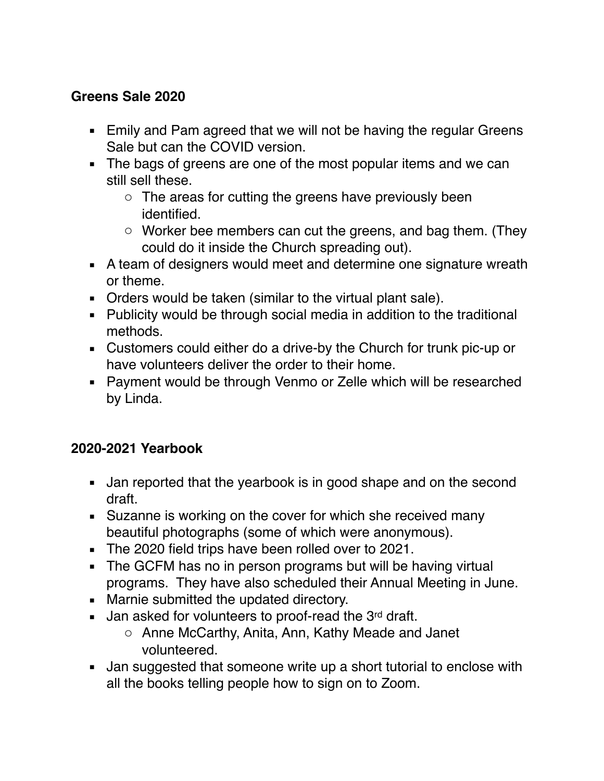### **Greens Sale 2020**

- **Emily and Pam agreed that we will not be having the regular Greens** Sale but can the COVID version.
- **.** The bags of greens are one of the most popular items and we can still sell these.
	- o The areas for cutting the greens have previously been identified.
	- o Worker bee members can cut the greens, and bag them. (They could do it inside the Church spreading out).
- A team of designers would meet and determine one signature wreath or theme.
- Orders would be taken (similar to the virtual plant sale).
- Publicity would be through social media in addition to the traditional methods.
- Customers could either do a drive-by the Church for trunk pic-up or have volunteers deliver the order to their home.
- Payment would be through Venmo or Zelle which will be researched by Linda.

# **2020-2021 Yearbook**

- **E** Jan reported that the yearbook is in good shape and on the second draft.
- Suzanne is working on the cover for which she received many beautiful photographs (some of which were anonymous).
- The 2020 field trips have been rolled over to 2021.
- The GCFM has no in person programs but will be having virtual programs. They have also scheduled their Annual Meeting in June.
- Marnie submitted the updated directory.
- **.** Jan asked for volunteers to proof-read the 3 $rd$  draft.
	- o Anne McCarthy, Anita, Ann, Kathy Meade and Janet volunteered.
- Jan suggested that someone write up a short tutorial to enclose with all the books telling people how to sign on to Zoom.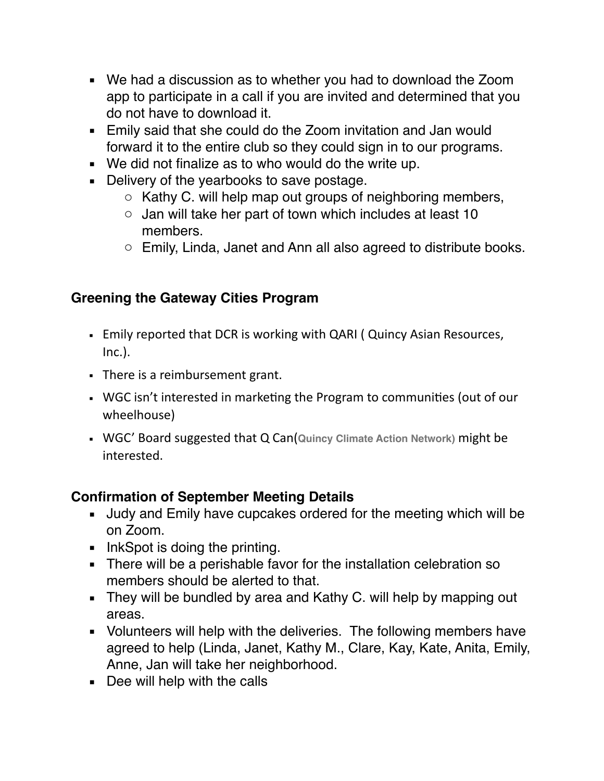- We had a discussion as to whether you had to download the Zoom app to participate in a call if you are invited and determined that you do not have to download it.
- **Emily said that she could do the Zoom invitation and Jan would** forward it to the entire club so they could sign in to our programs.
- We did not finalize as to who would do the write up.
- **Delivery of the yearbooks to save postage.** 
	- o Kathy C. will help map out groups of neighboring members,
	- o Jan will take her part of town which includes at least 10 members.
	- o Emily, Linda, Janet and Ann all also agreed to distribute books.

# **Greening the Gateway Cities Program**

- **Emily reported that DCR is working with QARI ( Quincy Asian Resources,** Inc.).
- There is a reimbursement grant.
- WGC isn't interested in marketing the Program to communities (out of our wheelhouse)
- WGC' Board suggested that Q Can(**Quincy Climate Action Network)** might be interested.

# **Confirmation of September Meeting Details**

- Judy and Emily have cupcakes ordered for the meeting which will be on Zoom.
- InkSpot is doing the printing.
- **EXECT** There will be a perishable favor for the installation celebration so members should be alerted to that.
- **EXTERGHT They will be bundled by area and Kathy C. will help by mapping out** areas.
- Volunteers will help with the deliveries. The following members have agreed to help (Linda, Janet, Kathy M., Clare, Kay, Kate, Anita, Emily, Anne, Jan will take her neighborhood.
- Dee will help with the calls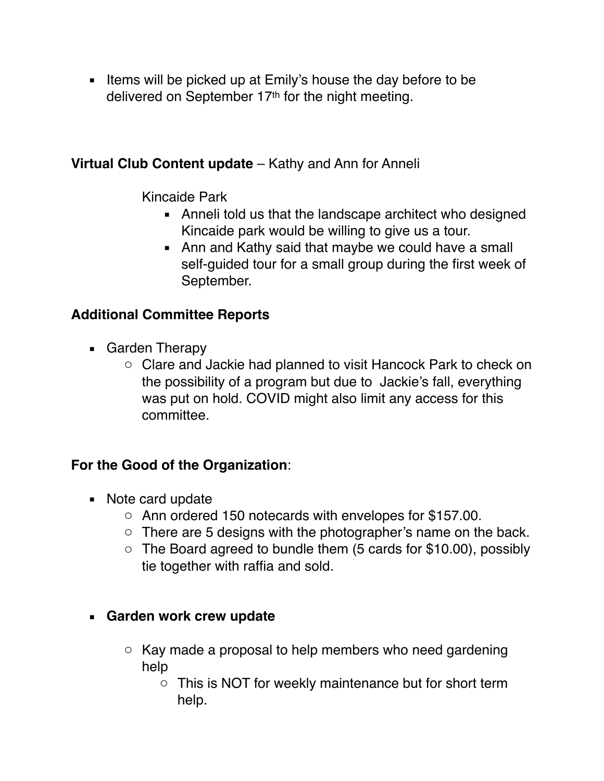**EXECT** Items will be picked up at Emily's house the day before to be delivered on September 17th for the night meeting.

### **Virtual Club Content update** – Kathy and Ann for Anneli

Kincaide Park

- Anneli told us that the landscape architect who designed Kincaide park would be willing to give us a tour.
- Ann and Kathy said that maybe we could have a small self-guided tour for a small group during the first week of September.

# **Additional Committee Reports**

- Garden Therapy
	- o Clare and Jackie had planned to visit Hancock Park to check on the possibility of a program but due to Jackie's fall, everything was put on hold. COVID might also limit any access for this committee.

# **For the Good of the Organization**:

- Note card update
	- o Ann ordered 150 notecards with envelopes for \$157.00.
	- o There are 5 designs with the photographer's name on the back.
	- $\circ$  The Board agreed to bundle them (5 cards for \$10.00), possibly tie together with raffia and sold.

# ▪ **Garden work crew update**

- o Kay made a proposal to help members who need gardening help
	- o This is NOT for weekly maintenance but for short term help.